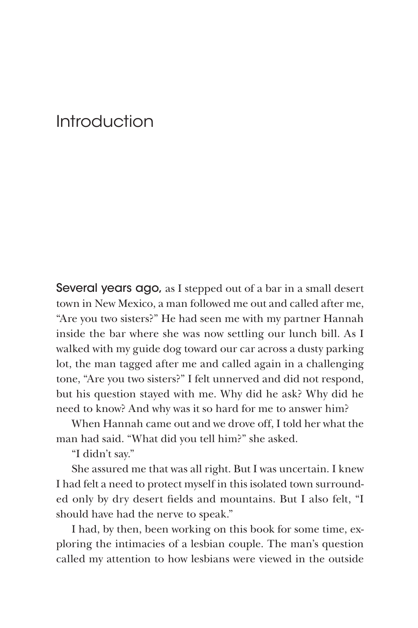## Introduction

Several years ago, as I stepped out of a bar in a small desert town in New Mexico, a man followed me out and called after me, "Are you two sisters?" He had seen me with my partner Hannah inside the bar where she was now settling our lunch bill. As I walked with my guide dog toward our car across a dusty parking lot, the man tagged after me and called again in a challenging tone, "Are you two sisters?" I felt unnerved and did not respond, but his question stayed with me. Why did he ask? Why did he need to know? And why was it so hard for me to answer him?

When Hannah came out and we drove off, I told her what the man had said. "What did you tell him?" she asked.

"I didn't say."

She assured me that was all right. But I was uncertain. I knew I had felt a need to protect myself in this isolated town surrounded only by dry desert fields and mountains. But I also felt, "I should have had the nerve to speak."

I had, by then, been working on this book for some time, exploring the intimacies of a lesbian couple. The man's question called my attention to how lesbians were viewed in the outside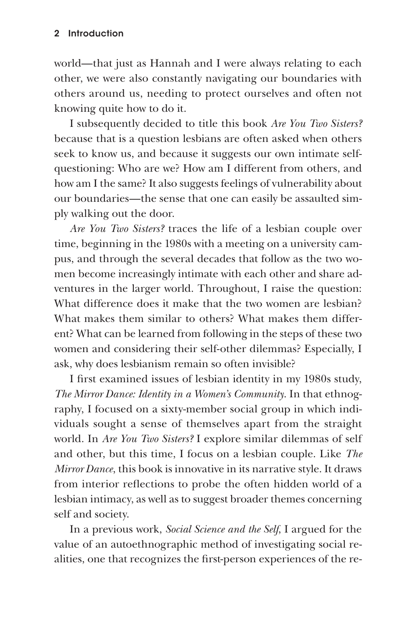world—that just as Hannah and I were always relating to each other, we were also constantly navigating our boundaries with others around us, needing to protect ourselves and often not knowing quite how to do it.

 because that is a question lesbians are often asked when others I subsequently decided to title this book *Are You Two Sisters?*  seek to know us, and because it suggests our own intimate selfquestioning: Who are we? How am I different from others, and how am I the same? It also suggests feelings of vulnerability about our boundaries—the sense that one can easily be assaulted simply walking out the door.

*Are You Two Sisters?* traces the life of a lesbian couple over time, beginning in the 1980s with a meeting on a university campus, and through the several decades that follow as the two women become increasingly intimate with each other and share adventures in the larger world. Throughout, I raise the question: What difference does it make that the two women are lesbian? What makes them similar to others? What makes them different? What can be learned from following in the steps of these two women and considering their self-other dilemmas? Especially, I ask, why does lesbianism remain so often invisible?

I first examined issues of lesbian identity in my 1980s study, *The Mirror Dance: Identity in a Women's Community*. In that ethnography, I focused on a sixty-member social group in which individuals sought a sense of themselves apart from the straight world. In *Are You Two Sisters?* I explore similar dilemmas of self and other, but this time, I focus on a lesbian couple. Like *The Mirror Dance*, this book is innovative in its narrative style. It draws from interior reflections to probe the often hidden world of a lesbian intimacy, as well as to suggest broader themes concerning self and society.

In a previous work, *Social Science and the Self*, I argued for the value of an autoethnographic method of investigating social realities, one that recognizes the first-person experiences of the re-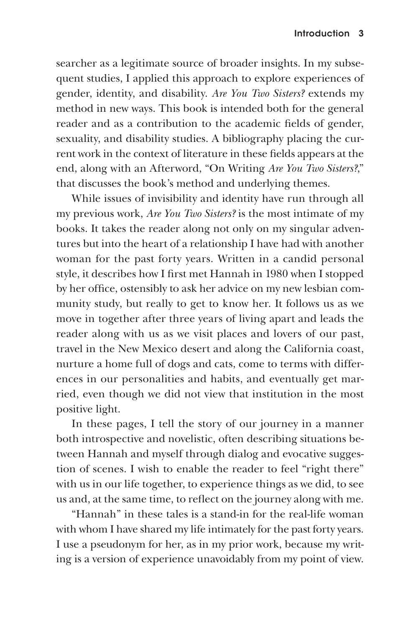searcher as a legitimate source of broader insights. In my subsequent studies, I applied this approach to explore experiences of gender, identity, and disability. *Are You Two Sisters?* extends my method in new ways. This book is intended both for the general reader and as a contribution to the academic fields of gender, sexuality, and disability studies. A bibliography placing the current work in the context of literature in these fields appears at the end, along with an Afterword, "On Writing *Are You Two Sisters?*," that discusses the book's method and underlying themes.

While issues of invisibility and identity have run through all my previous work, *Are You Two Sisters?* is the most intimate of my books. It takes the reader along not only on my singular adventures but into the heart of a relationship I have had with another woman for the past forty years. Written in a candid personal style, it describes how I first met Hannah in 1980 when I stopped by her office, ostensibly to ask her advice on my new lesbian community study, but really to get to know her. It follows us as we move in together after three years of living apart and leads the reader along with us as we visit places and lovers of our past, travel in the New Mexico desert and along the California coast, nurture a home full of dogs and cats, come to terms with differences in our personalities and habits, and eventually get married, even though we did not view that institution in the most positive light.

In these pages, I tell the story of our journey in a manner both introspective and novelistic, often describing situations between Hannah and myself through dialog and evocative suggestion of scenes. I wish to enable the reader to feel "right there" with us in our life together, to experience things as we did, to see us and, at the same time, to reflect on the journey along with me.

"Hannah" in these tales is a stand-in for the real-life woman with whom I have shared my life intimately for the past forty years. I use a pseudonym for her, as in my prior work, because my writing is a version of experience unavoidably from my point of view.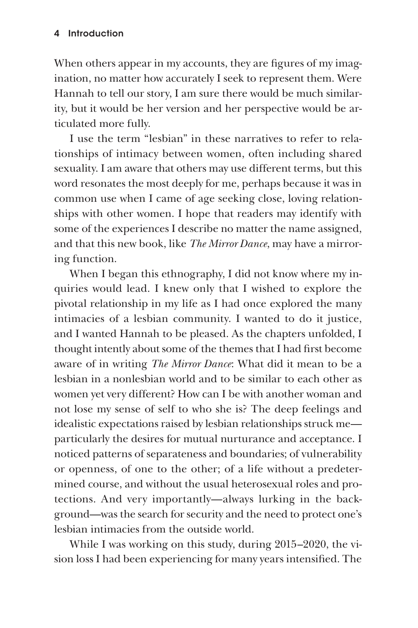When others appear in my accounts, they are figures of my imagination, no matter how accurately I seek to represent them. Were Hannah to tell our story, I am sure there would be much similarity, but it would be her version and her perspective would be articulated more fully.

I use the term "lesbian" in these narratives to refer to relationships of intimacy between women, often including shared sexuality. I am aware that others may use different terms, but this word resonates the most deeply for me, perhaps because it was in common use when I came of age seeking close, loving relationships with other women. I hope that readers may identify with some of the experiences I describe no matter the name assigned, and that this new book, like *The Mirror Dance*, may have a mirroring function.

When I began this ethnography, I did not know where my inquiries would lead. I knew only that I wished to explore the pivotal relationship in my life as I had once explored the many intimacies of a lesbian community. I wanted to do it justice, and I wanted Hannah to be pleased. As the chapters unfolded, I thought intently about some of the themes that I had first become aware of in writing *The Mirror Dance*: What did it mean to be a lesbian in a nonlesbian world and to be similar to each other as women yet very different? How can I be with another woman and not lose my sense of self to who she is? The deep feelings and idealistic expectations raised by lesbian relationships struck me particularly the desires for mutual nurturance and acceptance. I noticed patterns of separateness and boundaries; of vulnerability or openness, of one to the other; of a life without a predetermined course, and without the usual heterosexual roles and protections. And very importantly—always lurking in the background—was the search for security and the need to protect one's lesbian intimacies from the outside world.

While I was working on this study, during 2015–2020, the vision loss I had been experiencing for many years intensified. The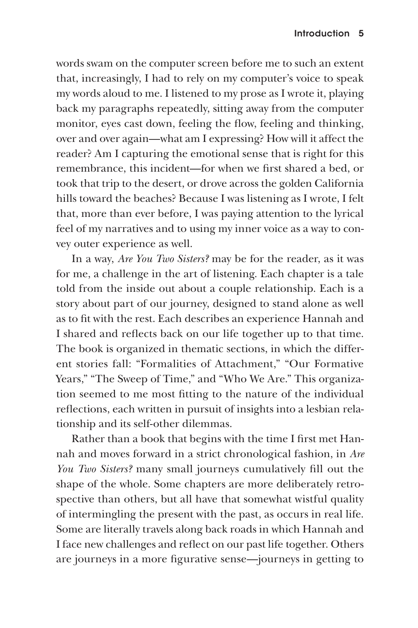words swam on the computer screen before me to such an extent that, increasingly, I had to rely on my computer's voice to speak my words aloud to me. I listened to my prose as I wrote it, playing back my paragraphs repeatedly, sitting away from the computer monitor, eyes cast down, feeling the flow, feeling and thinking, over and over again—what am I expressing? How will it affect the reader? Am I capturing the emotional sense that is right for this remembrance, this incident—for when we first shared a bed, or took that trip to the desert, or drove across the golden California hills toward the beaches? Because I was listening as I wrote, I felt that, more than ever before, I was paying attention to the lyrical feel of my narratives and to using my inner voice as a way to convey outer experience as well.

 In a way, *Are You Two Sisters?* may be for the reader, as it was for me, a challenge in the art of listening. Each chapter is a tale told from the inside out about a couple relationship. Each is a story about part of our journey, designed to stand alone as well as to fit with the rest. Each describes an experience Hannah and I shared and reflects back on our life together up to that time. The book is organized in thematic sections, in which the different stories fall: "Formalities of Attachment," "Our Formative Years," "The Sweep of Time," and "Who We Are." This organization seemed to me most fitting to the nature of the individual reflections, each written in pursuit of insights into a lesbian relationship and its self-other dilemmas.

Rather than a book that begins with the time I first met Hannah and moves forward in a strict chronological fashion, in *Are You Two Sisters?* many small journeys cumulatively fill out the shape of the whole. Some chapters are more deliberately retrospective than others, but all have that somewhat wistful quality of intermingling the present with the past, as occurs in real life. Some are literally travels along back roads in which Hannah and I face new challenges and reflect on our past life together. Others are journeys in a more figurative sense—journeys in getting to